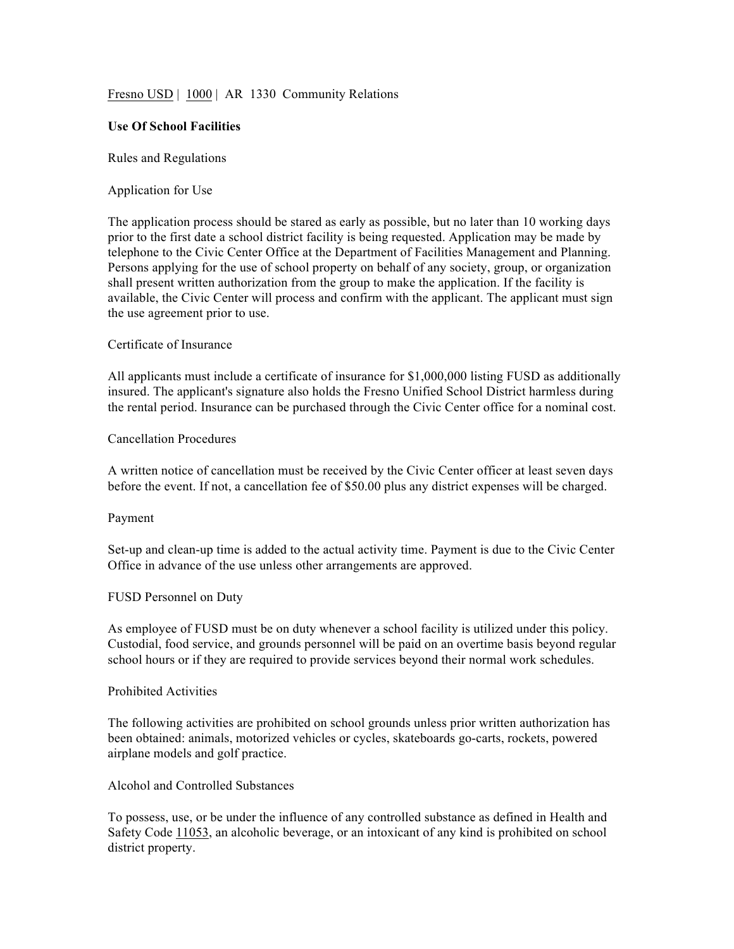## Fresno USD | 1000 | AR 1330 Community Relations

### **Use Of School Facilities**

#### Rules and Regulations

#### Application for Use

The application process should be stared as early as possible, but no later than 10 working days prior to the first date a school district facility is being requested. Application may be made by telephone to the Civic Center Office at the Department of Facilities Management and Planning. Persons applying for the use of school property on behalf of any society, group, or organization shall present written authorization from the group to make the application. If the facility is available, the Civic Center will process and confirm with the applicant. The applicant must sign the use agreement prior to use.

#### Certificate of Insurance

All applicants must include a certificate of insurance for \$1,000,000 listing FUSD as additionally insured. The applicant's signature also holds the Fresno Unified School District harmless during the rental period. Insurance can be purchased through the Civic Center office for a nominal cost.

# Cancellation Procedures

A written notice of cancellation must be received by the Civic Center officer at least seven days before the event. If not, a cancellation fee of \$50.00 plus any district expenses will be charged.

#### Payment

Set-up and clean-up time is added to the actual activity time. Payment is due to the Civic Center Office in advance of the use unless other arrangements are approved.

#### FUSD Personnel on Duty

As employee of FUSD must be on duty whenever a school facility is utilized under this policy. Custodial, food service, and grounds personnel will be paid on an overtime basis beyond regular school hours or if they are required to provide services beyond their normal work schedules.

#### Prohibited Activities

The following activities are prohibited on school grounds unless prior written authorization has been obtained: animals, motorized vehicles or cycles, skateboards go-carts, rockets, powered airplane models and golf practice.

### Alcohol and Controlled Substances

To possess, use, or be under the influence of any controlled substance as defined in Health and Safety Code 11053, an alcoholic beverage, or an intoxicant of any kind is prohibited on school district property.